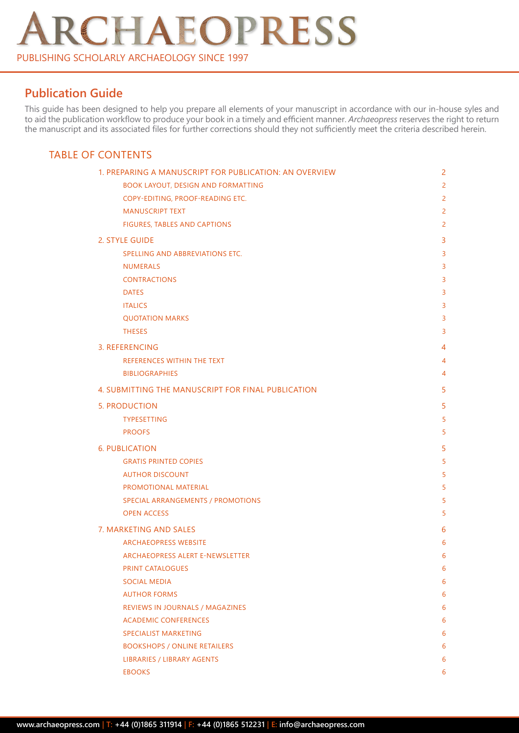# RCHAEOPRESS PUBLISHING SCHOLARLY ARCHAEOLOGY SINCE 1997

# **Publication Guide**

This guide has been designed to help you prepare all elements of your manuscript in accordance with our in-house syles and to aid the publication workflow to produce your book in a timely and efficient manner. *Archaeopress* reserves the right to return the manuscript and its associated files for further corrections should they not sufficiently meet the criteria described herein.

# TABLE OF CONTENTS

| 1. PREPARING A MANUSCRIPT FOR PUBLICATION: AN OVERVIEW | $\overline{c}$ |
|--------------------------------------------------------|----------------|
| <b>BOOK LAYOUT, DESIGN AND FORMATTING</b>              | $\overline{2}$ |
| COPY-EDITING, PROOF-READING ETC.                       | $\overline{2}$ |
| <b>MANUSCRIPT TEXT</b>                                 | $\overline{2}$ |
| FIGURES, TABLES AND CAPTIONS                           | $\overline{2}$ |
| 2. STYLE GUIDE                                         | 3              |
| SPELLING AND ABBREVIATIONS ETC.                        | 3              |
| <b>NUMERALS</b>                                        | 3              |
| <b>CONTRACTIONS</b>                                    | 3              |
| <b>DATES</b>                                           | 3              |
| <b>ITALICS</b>                                         | 3              |
| <b>QUOTATION MARKS</b>                                 | 3              |
| <b>THESES</b>                                          | 3              |
| 3. REFERENCING                                         | 4              |
| REFERENCES WITHIN THE TEXT                             | 4              |
| <b>BIBLIOGRAPHIES</b>                                  | 4              |
| 4. SUBMITTING THE MANUSCRIPT FOR FINAL PUBLICATION     | 5              |
| <b>5. PRODUCTION</b>                                   | 5              |
| <b>TYPESETTING</b>                                     | 5              |
| <b>PROOFS</b>                                          | 5              |
| <b>6. PUBLICATION</b>                                  | 5              |
| <b>GRATIS PRINTED COPIES</b>                           | 5              |
| <b>AUTHOR DISCOUNT</b>                                 | 5              |
| PROMOTIONAL MATERIAL                                   | 5              |
| SPECIAL ARRANGEMENTS / PROMOTIONS                      | 5              |
| <b>OPEN ACCESS</b>                                     | 5              |
| 7. MARKETING AND SALES                                 | 6              |
| <b>ARCHAEOPRESS WEBSITE</b>                            | 6              |
| ARCHAEOPRESS ALERT E-NEWSLETTER                        | 6              |
| <b>PRINT CATALOGUES</b>                                | 6              |
| <b>SOCIAL MEDIA</b>                                    | 6              |
| <b>AUTHOR FORMS</b>                                    | 6              |
| REVIEWS IN JOURNALS / MAGAZINES                        | 6              |
| <b>ACADEMIC CONFERENCES</b>                            | 6              |
| <b>SPECIALIST MARKETING</b>                            | 6              |
| <b>BOOKSHOPS / ONLINE RETAILERS</b>                    | 6              |
| LIBRARIES / LIBRARY AGENTS                             | 6              |
| <b>EBOOKS</b>                                          | 6              |
|                                                        |                |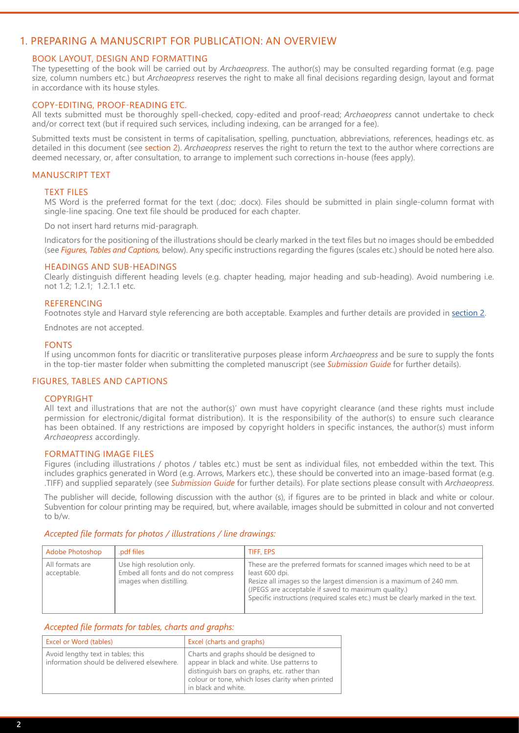# <span id="page-1-0"></span>1. PREPARING A MANUSCRIPT FOR PUBLICATION: AN OVERVIEW

# BOOK LAYOUT, DESIGN AND FORMATTING

The typesetting of the book will be carried out by *Archaeopress*. The author(s) may be consulted regarding format (e.g. page size, column numbers etc.) but *Archaeopress* reserves the right to make all final decisions regarding design, layout and format in accordance with its house styles.

# COPY-EDITING, PROOF-READING ETC.

All texts submitted must be thoroughly spell-checked, copy-edited and proof-read; *Archaeopress* cannot undertake to check and/or correct text (but if required such services, including indexing, can be arranged for a fee).

Submitted texts must be consistent in terms of capitalisation, spelling, punctuation, abbreviations, references, headings etc. as detailed in this document (see [section 2\)](#page-3-0). *Archaeopress* reserves the right to return the text to the author where corrections are deemed necessary, or, after consultation, to arrange to implement such corrections in-house (fees apply).

# MANUSCRIPT TEXT

#### TEXT FILES

MS Word is the preferred format for the text (.doc; .docx). Files should be submitted in plain single-column format with single-line spacing. One text file should be produced for each chapter.

Do not insert hard returns mid-paragraph.

Indicators for the positioning of the illustrations should be clearly marked in the text files but no images should be embedded (see *Figures, Tables and Captions,* below). Any specific instructions regarding the figures (scales etc.) should be noted here also.

#### HEADINGS AND SUB-HEADINGS

Clearly distinguish different heading levels (e.g. chapter heading, major heading and sub-heading). Avoid numbering i.e. not 1.2; 1.2.1; 1.2.1.1 etc.

#### **REFERENCING**

Footnotes style and Harvard style referencing are both acceptable. Examples and further details are provided in [section 2.](#page-2-0)

Endnotes are not accepted.

#### FONTS

If using uncommon fonts for diacritic or transliterative purposes please inform *Archaeopress* and be sure to supply the fonts in the top-tier master folder when submitting the completed manuscript (see *Submission Guide* for further details).

# FIGURES, TABLES AND CAPTIONS

#### **COPYRIGHT**

All text and illustrations that are not the author(s)' own must have copyright clearance (and these rights must include permission for electronic/digital format distribution). It is the responsibility of the author(s) to ensure such clearance has been obtained. If any restrictions are imposed by copyright holders in specific instances, the author(s) must inform *Archaeopress* accordingly.

#### FORMATTING IMAGE FILES

Figures (including illustrations / photos / tables etc.) must be sent as individual files, not embedded within the text. This includes graphics generated in Word (e.g. Arrows, Markers etc.), these should be converted into an image-based format (e.g. .TIFF) and supplied separately (see *Submission Guide* for further details). For plate sections please consult with *Archaeopress*.

The publisher will decide, following discussion with the author (s), if figures are to be printed in black and white or colour. Subvention for colour printing may be required, but, where available, images should be submitted in colour and not converted to b/w.

#### *Accepted file formats for photos / illustrations / line drawings:*

| Adobe Photoshop                | .pdf files                                                                                  | TIFF, EPS                                                                                                                                                                                                                                                                                                 |
|--------------------------------|---------------------------------------------------------------------------------------------|-----------------------------------------------------------------------------------------------------------------------------------------------------------------------------------------------------------------------------------------------------------------------------------------------------------|
| All formats are<br>acceptable. | Use high resolution only.<br>Embed all fonts and do not compress<br>images when distilling. | These are the preferred formats for scanned images which need to be at<br>least 600 dpi.<br>Resize all images so the largest dimension is a maximum of 240 mm.<br>(JPEGS are acceptable if saved to maximum quality.)<br>Specific instructions (required scales etc.) must be clearly marked in the text. |

# *Accepted file formats for tables, charts and graphs:*

| Excel or Word (tables)                                                           | Excel (charts and graphs)                                                                                                                                                                                        |
|----------------------------------------------------------------------------------|------------------------------------------------------------------------------------------------------------------------------------------------------------------------------------------------------------------|
| Avoid lengthy text in tables; this<br>information should be delivered elsewhere. | Charts and graphs should be designed to<br>appear in black and white. Use patterns to<br>distinguish bars on graphs, etc. rather than<br>colour or tone, which loses clarity when printed<br>in black and white. |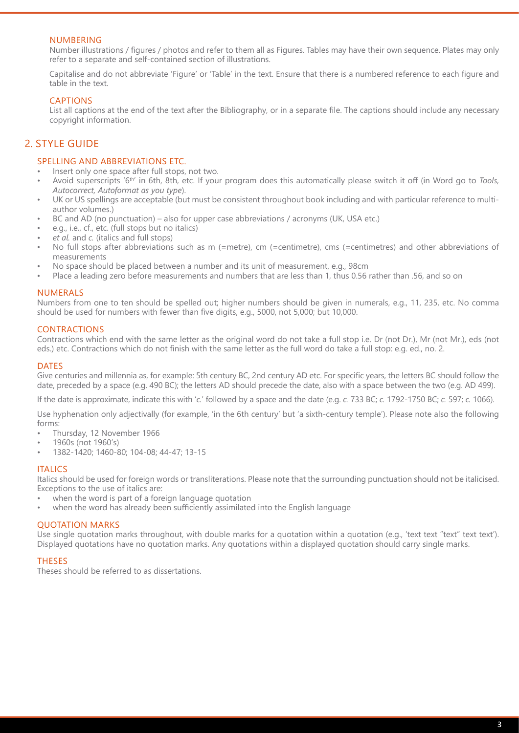# <span id="page-2-0"></span>NUMBERING

Number illustrations / figures / photos and refer to them all as Figures. Tables may have their own sequence. Plates may only refer to a separate and self-contained section of illustrations.

Capitalise and do not abbreviate 'Figure' or 'Table' in the text. Ensure that there is a numbered reference to each figure and table in the text.

# CAPTIONS

List all captions at the end of the text after the Bibliography, or in a separate file. The captions should include any necessary copyright information.

# 2. STYLE GUIDE

# SPELLING AND ABBREVIATIONS ETC.

- Insert only one space after full stops, not two.
- Avoid superscripts '6th' in 6th, 8th, etc. If your program does this automatically please switch it off (in Word go to *Tools, Autocorrect, Autoformat as you type*).
- UK or US spellings are acceptable (but must be consistent throughout book including and with particular reference to multiauthor volumes.)
- BC and AD (no punctuation) also for upper case abbreviations / acronyms (UK, USA etc.)
- e.g., i.e., cf., etc. (full stops but no italics)
- *• et al.* and *c.* (italics and full stops)
- No full stops after abbreviations such as m (=metre), cm (=centimetre), cms (=centimetres) and other abbreviations of measurements
- No space should be placed between a number and its unit of measurement, e.g., 98cm
- Place a leading zero before measurements and numbers that are less than 1, thus 0.56 rather than .56, and so on

# NUMERALS

Numbers from one to ten should be spelled out; higher numbers should be given in numerals, e.g., 11, 235, etc. No comma should be used for numbers with fewer than five digits, e.g., 5000, not 5,000; but 10,000.

# CONTRACTIONS

Contractions which end with the same letter as the original word do not take a full stop i.e. Dr (not Dr.), Mr (not Mr.), eds (not eds.) etc. Contractions which do not finish with the same letter as the full word do take a full stop: e.g. ed., no. 2.

#### **DATES**

Give centuries and millennia as, for example: 5th century BC, 2nd century AD etc. For specific years, the letters BC should follow the date, preceded by a space (e.g. 490 BC); the letters AD should precede the date, also with a space between the two (e.g. AD 499).

If the date is approximate, indicate this with '*c.*' followed by a space and the date (e.g. *c.* 733 BC; *c.* 1792-1750 BC; *c.* 597; *c.* 1066).

Use hyphenation only adjectivally (for example, 'in the 6th century' but 'a sixth-century temple'). Please note also the following forms:

- Thursday, 12 November 1966
- 1960s (not 1960's)
- 1382-1420; 1460-80; 104-08; 44-47; 13-15

#### **ITALICS**

Italics should be used for foreign words or transliterations. Please note that the surrounding punctuation should not be italicised. Exceptions to the use of italics are:

- when the word is part of a foreign language quotation
- when the word has already been sufficiently assimilated into the English language

# QUOTATION MARKS

Use single quotation marks throughout, with double marks for a quotation within a quotation (e.g., 'text text "text" text text'). Displayed quotations have no quotation marks. Any quotations within a displayed quotation should carry single marks.

# THESES

Theses should be referred to as dissertations.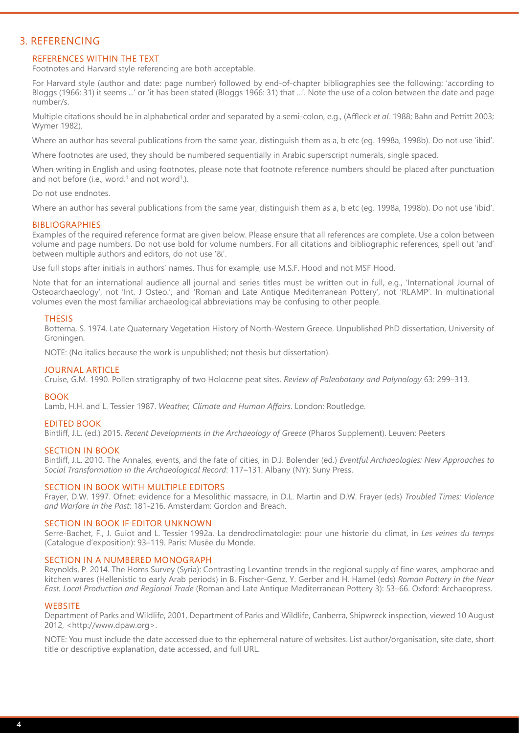# <span id="page-3-0"></span>3. REFERENCING

# REFERENCES WITHIN THE TEXT

Footnotes and Harvard style referencing are both acceptable.

For Harvard style (author and date: page number) followed by end-of-chapter bibliographies see the following: 'according to Bloggs (1966: 31) it seems ...' or 'it has been stated (Bloggs 1966: 31) that ...'. Note the use of a colon between the date and page number/s.

Multiple citations should be in alphabetical order and separated by a semi-colon, e.g., (Affleck *et al.* 1988; Bahn and Pettitt 2003; Wymer 1982).

Where an author has several publications from the same year, distinguish them as a, b etc (eg. 1998a, 1998b). Do not use 'ibid'.

Where footnotes are used, they should be numbered sequentially in Arabic superscript numerals, single spaced.

When writing in English and using footnotes, please note that footnote reference numbers should be placed after punctuation and not before (i.e., word. $1$  and not word $1$ .).

Do not use endnotes.

Where an author has several publications from the same year, distinguish them as a, b etc (eg. 1998a, 1998b). Do not use 'ibid'.

#### BIBLIOGRAPHIES

Examples of the required reference format are given below. Please ensure that all references are complete. Use a colon between volume and page numbers. Do not use bold for volume numbers. For all citations and bibliographic references, spell out 'and' between multiple authors and editors, do not use '&'.

Use full stops after initials in authors' names. Thus for example, use M.S.F. Hood and not MSF Hood.

Note that for an international audience all journal and series titles must be written out in full, e.g., 'International Journal of Osteoarchaeology', not 'Int. J Osteo.', and 'Roman and Late Antique Mediterranean Pottery', not 'RLAMP'. In multinational volumes even the most familiar archaeological abbreviations may be confusing to other people.

#### **THESIS**

Bottema, S. 1974. Late Quaternary Vegetation History of North-Western Greece. Unpublished PhD dissertation, University of Groningen.

NOTE: (No italics because the work is unpublished; not thesis but dissertation).

#### JOURNAL ARTICLE

Cruise, G.M. 1990. Pollen stratigraphy of two Holocene peat sites. *Review of Paleobotany and Palynology* 63: 299–313.

#### BOOK

Lamb, H.H. and L. Tessier 1987. *Weather, Climate and Human Affairs*. London: Routledge.

#### EDITED BOOK

Bintliff, J.L. (ed.) 2015. *Recent Developments in the Archaeology of Greece* (Pharos Supplement). Leuven: Peeters

#### SECTION IN BOOK

Bintliff, J.L. 2010. The Annales, events, and the fate of cities, in D.J. Bolender (ed.) *Eventful Archaeologies: New Approaches to Social Transformation in the Archaeological Record*: 117–131. Albany (NY): Suny Press.

#### SECTION IN BOOK WITH MULTIPLE EDITORS

Frayer, D.W. 1997. Ofnet: evidence for a Mesolithic massacre, in D.L. Martin and D.W. Frayer (eds) *Troubled Times: Violence and Warfare in the Past*: 181-216. Amsterdam: Gordon and Breach.

#### SECTION IN BOOK IF EDITOR UNKNOWN

Serre-Bachet, F., J. Guiot and L. Tessier 1992a. La dendroclimatologie: pour une historie du climat, in *Les veines du temps* (Catalogue d'exposition): 93–119. Paris: Musée du Monde.

#### SECTION IN A NUMBERED MONOGRAPH

Reynolds, P. 2014. The Homs Survey (Syria): Contrasting Levantine trends in the regional supply of fine wares, amphorae and kitchen wares (Hellenistic to early Arab periods) in B. Fischer-Genz, Y. Gerber and H. Hamel (eds) *Roman Pottery in the Near East. Local Production and Regional Trade* (Roman and Late Antique Mediterranean Pottery 3): 53–66. Oxford: Archaeopress.

#### **WEBSITE**

Department of Parks and Wildlife, 2001, Department of Parks and Wildlife, Canberra, Shipwreck inspection, viewed 10 August 2012, <http://www.dpaw.org>.

NOTE: You must include the date accessed due to the ephemeral nature of websites. List author/organisation, site date, short title or descriptive explanation, date accessed, and full URL.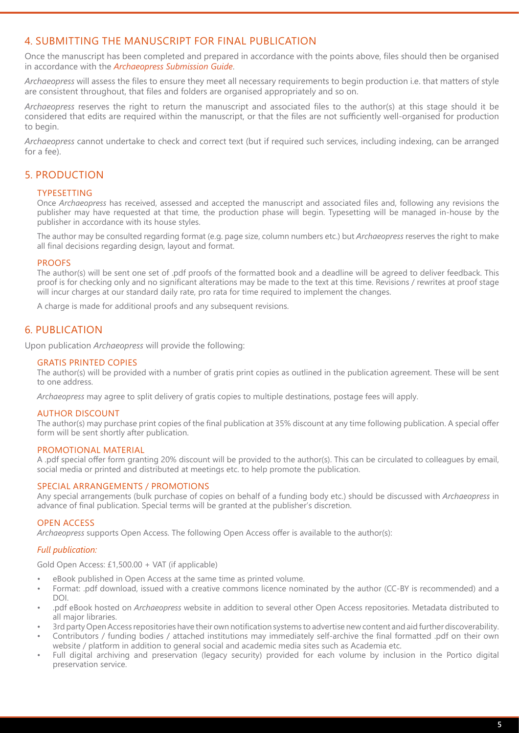# <span id="page-4-0"></span>4. SUBMITTING THE MANUSCRIPT FOR FINAL PUBLICATION

Once the manuscript has been completed and prepared in accordance with the points above, files should then be organised in accordance with the *Archaeopress Submission Guide*.

*Archaeopress* will assess the files to ensure they meet all necessary requirements to begin production i.e. that matters of style are consistent throughout, that files and folders are organised appropriately and so on.

*Archaeopress* reserves the right to return the manuscript and associated files to the author(s) at this stage should it be considered that edits are required within the manuscript, or that the files are not sufficiently well-organised for production to begin.

*Archaeopress* cannot undertake to check and correct text (but if required such services, including indexing, can be arranged for a fee).

# 5. PRODUCTION

# TYPESETTING

Once *Archaeopress* has received, assessed and accepted the manuscript and associated files and, following any revisions the publisher may have requested at that time, the production phase will begin. Typesetting will be managed in-house by the publisher in accordance with its house styles.

The author may be consulted regarding format (e.g. page size, column numbers etc.) but *Archaeopress* reserves the right to make all final decisions regarding design, layout and format.

# PROOFS

The author(s) will be sent one set of .pdf proofs of the formatted book and a deadline will be agreed to deliver feedback. This proof is for checking only and no significant alterations may be made to the text at this time. Revisions / rewrites at proof stage will incur charges at our standard daily rate, pro rata for time required to implement the changes.

A charge is made for additional proofs and any subsequent revisions.

# 6. PUBLICATION

Upon publication *Archaeopress* will provide the following:

# GRATIS PRINTED COPIES

The author(s) will be provided with a number of gratis print copies as outlined in the publication agreement. These will be sent to one address.

*Archaeopress* may agree to split delivery of gratis copies to multiple destinations, postage fees will apply.

# AUTHOR DISCOUNT

The author(s) may purchase print copies of the final publication at 35% discount at any time following publication. A special offer form will be sent shortly after publication.

# PROMOTIONAL MATERIAL

A .pdf special offer form granting 20% discount will be provided to the author(s). This can be circulated to colleagues by email, social media or printed and distributed at meetings etc. to help promote the publication.

# SPECIAL ARRANGEMENTS / PROMOTIONS

Any special arrangements (bulk purchase of copies on behalf of a funding body etc.) should be discussed with *Archaeopress* in advance of final publication. Special terms will be granted at the publisher's discretion.

# OPEN ACCESS

*Archaeopress* supports Open Access. The following Open Access offer is available to the author(s):

# *Full publication:*

Gold Open Access: £1,500.00 + VAT (if applicable)

- eBook published in Open Access at the same time as printed volume.
- Format: .pdf download, issued with a creative commons licence nominated by the author (CC-BY is recommended) and a DOI.
- .pdf eBook hosted on *Archaeopress* website in addition to several other Open Access repositories. Metadata distributed to all major libraries.
- 3rd party Open Access repositories have their own notification systems to advertise new content and aid further discoverability.
- Contributors / funding bodies / attached institutions may immediately self-archive the final formatted .pdf on their own website / platform in addition to general social and academic media sites such as Academia etc.
- Full digital archiving and preservation (legacy security) provided for each volume by inclusion in the Portico digital preservation service.